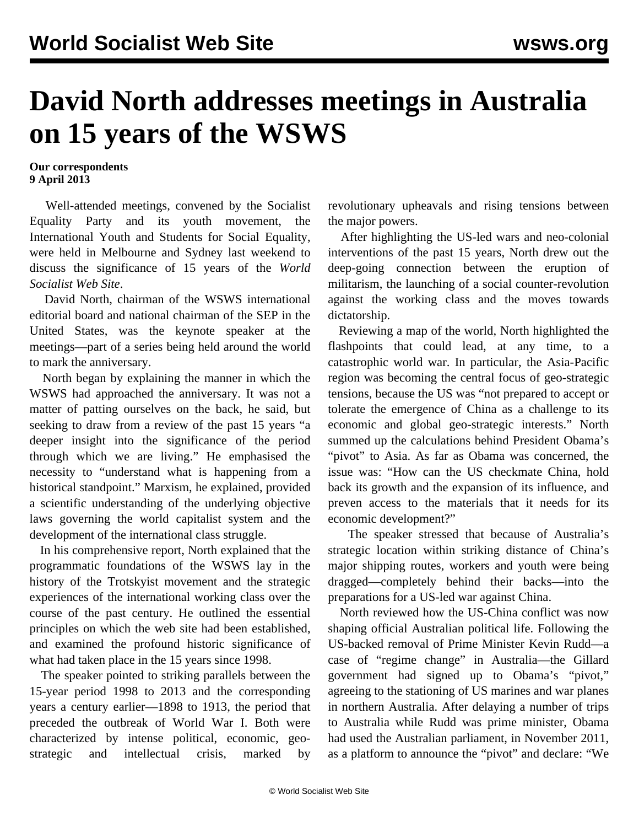## **David North addresses meetings in Australia on 15 years of the WSWS**

## **Our correspondents 9 April 2013**

 Well-attended meetings, convened by the Socialist Equality Party and its youth movement, the International Youth and Students for Social Equality, were held in Melbourne and Sydney last weekend to discuss the significance of 15 years of the *World Socialist Web Site*.

 David North, chairman of the WSWS international editorial board and national chairman of the SEP in the United States, was the keynote speaker at the meetings—part of a series being held around the world to mark the anniversary.

 North began by explaining the manner in which the WSWS had approached the anniversary. It was not a matter of patting ourselves on the back, he said, but seeking to draw from a review of the past 15 years "a deeper insight into the significance of the period through which we are living." He emphasised the necessity to "understand what is happening from a historical standpoint." Marxism, he explained, provided a scientific understanding of the underlying objective laws governing the world capitalist system and the development of the international class struggle.

 In his comprehensive report, North explained that the programmatic foundations of the WSWS lay in the history of the Trotskyist movement and the strategic experiences of the international working class over the course of the past century. He outlined the essential principles on which the web site had been established, and examined the profound historic significance of what had taken place in the 15 years since 1998.

 The speaker pointed to striking parallels between the 15-year period 1998 to 2013 and the corresponding years a century earlier—1898 to 1913, the period that preceded the outbreak of World War I. Both were characterized by intense political, economic, geostrategic and intellectual crisis, marked by

revolutionary upheavals and rising tensions between the major powers.

 After highlighting the US-led wars and neo-colonial interventions of the past 15 years, North drew out the deep-going connection between the eruption of militarism, the launching of a social counter-revolution against the working class and the moves towards dictatorship.

 Reviewing a map of the world, North highlighted the flashpoints that could lead, at any time, to a catastrophic world war. In particular, the Asia-Pacific region was becoming the central focus of geo-strategic tensions, because the US was "not prepared to accept or tolerate the emergence of China as a challenge to its economic and global geo-strategic interests." North summed up the calculations behind President Obama's "pivot" to Asia. As far as Obama was concerned, the issue was: "How can the US checkmate China, hold back its growth and the expansion of its influence, and preven access to the materials that it needs for its economic development?"

 The speaker stressed that because of Australia's strategic location within striking distance of China's major shipping routes, workers and youth were being dragged—completely behind their backs—into the preparations for a US-led war against China.

 North reviewed how the US-China conflict was now shaping official Australian political life. Following the US-backed removal of Prime Minister Kevin Rudd—a case of "regime change" in Australia—the Gillard government had signed up to Obama's "pivot," agreeing to the stationing of US marines and war planes in northern Australia. After delaying a number of trips to Australia while Rudd was prime minister, Obama had used the Australian parliament, in November 2011, as a platform to announce the "pivot" and declare: "We